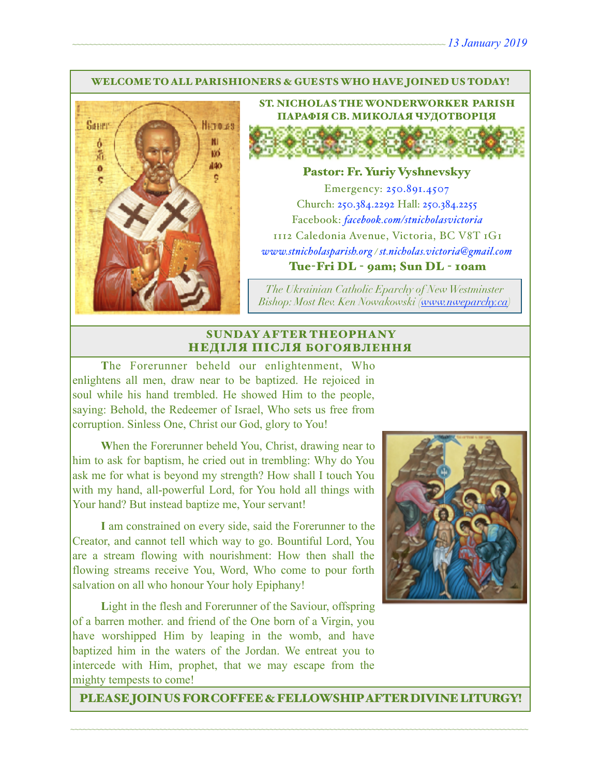#### WELCOME TO ALL PARISHIONERS & GUESTS WHO HAVE JOINED US TODAY!



ST. NICHOLAS THE WONDERWORKER PARISH ПАРАФІЯ СВ. МИКОЛАЯ ЧУДОТВОРЦЯ

#### Pastor: Fr. Yuriy Vyshnevskyy

Emergency: 250.891.4507 Church: 250.384.2292 Hall: 250.384.2255 Facebook: *[facebook.com/stnicholasvictoria](http://facebook.com/stnicholasvictoria)* 1112 Caledonia Avenue, Victoria, BC V8T 1G1 *[www.stnicholasparish.org](http://www.stnicholasparish.org) / [st.nicholas.victoria@gmail.com](mailto:st.nicholas.victoria@gmail.com)* Tue-Fri DL - 9am; Sun DL - 10am

*The Ukrainian Catholic Eparchy of New Westminster Bishop: Most Rev. Ken Nowakowski ([www.nweparchy.ca](http://www.nweparchy.ca))*

#### SUNDAY AFTER THEOPHANY НЕДІЛЯ ПІСЛЯ БОГОЯВЛЕННЯ

**T**he Forerunner beheld our enlightenment, Who enlightens all men, draw near to be baptized. He rejoiced in soul while his hand trembled. He showed Him to the people, saying: Behold, the Redeemer of Israel, Who sets us free from corruption. Sinless One, Christ our God, glory to You!

**W**hen the Forerunner beheld You, Christ, drawing near to him to ask for baptism, he cried out in trembling: Why do You ask me for what is beyond my strength? How shall I touch You with my hand, all-powerful Lord, for You hold all things with Your hand? But instead baptize me, Your servant!

**I** am constrained on every side, said the Forerunner to the Creator, and cannot tell which way to go. Bountiful Lord, You are a stream flowing with nourishment: How then shall the flowing streams receive You, Word, Who come to pour forth salvation on all who honour Your holy Epiphany!

Light in the flesh and Forerunner of the Saviour, offspring of a barren mother. and friend of the One born of a Virgin, you have worshipped Him by leaping in the womb, and have baptized him in the waters of the Jordan. We entreat you to intercede with Him, prophet, that we may escape from the mighty tempests to come!



PLEASE JOIN US FOR COFFEE & FELLOWSHIP AFTER DIVINE LITURGY!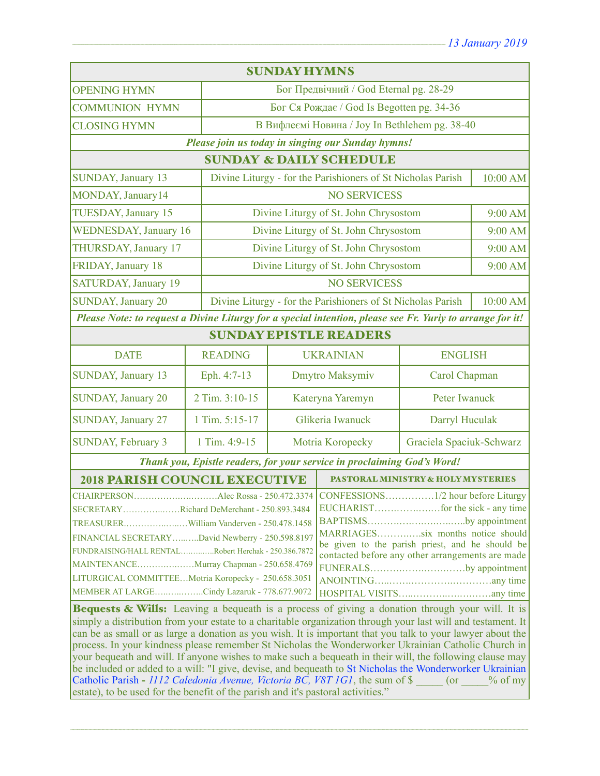| <b>SUNDAY HYMNS</b>                                                                                                                                                                                                                                                                                                                                                                                                                                                                                                                                                                                                                                                                                                                                                            |                |                                                             |                                       |                                       |          |  |
|--------------------------------------------------------------------------------------------------------------------------------------------------------------------------------------------------------------------------------------------------------------------------------------------------------------------------------------------------------------------------------------------------------------------------------------------------------------------------------------------------------------------------------------------------------------------------------------------------------------------------------------------------------------------------------------------------------------------------------------------------------------------------------|----------------|-------------------------------------------------------------|---------------------------------------|---------------------------------------|----------|--|
| <b>OPENING HYMN</b>                                                                                                                                                                                                                                                                                                                                                                                                                                                                                                                                                                                                                                                                                                                                                            |                | Бог Предвічний / God Eternal pg. 28-29                      |                                       |                                       |          |  |
| <b>COMMUNION HYMN</b>                                                                                                                                                                                                                                                                                                                                                                                                                                                                                                                                                                                                                                                                                                                                                          |                | Бог Ся Рождає / God Is Begotten pg. 34-36                   |                                       |                                       |          |  |
| <b>CLOSING HYMN</b>                                                                                                                                                                                                                                                                                                                                                                                                                                                                                                                                                                                                                                                                                                                                                            |                | В Вифлеємі Новина / Joy In Bethlehem pg. 38-40              |                                       |                                       |          |  |
| Please join us today in singing our Sunday hymns!                                                                                                                                                                                                                                                                                                                                                                                                                                                                                                                                                                                                                                                                                                                              |                |                                                             |                                       |                                       |          |  |
| <b>SUNDAY &amp; DAILY SCHEDULE</b>                                                                                                                                                                                                                                                                                                                                                                                                                                                                                                                                                                                                                                                                                                                                             |                |                                                             |                                       |                                       |          |  |
| <b>SUNDAY, January 13</b>                                                                                                                                                                                                                                                                                                                                                                                                                                                                                                                                                                                                                                                                                                                                                      |                | Divine Liturgy - for the Parishioners of St Nicholas Parish |                                       | 10:00 AM                              |          |  |
| MONDAY, January14                                                                                                                                                                                                                                                                                                                                                                                                                                                                                                                                                                                                                                                                                                                                                              |                | <b>NO SERVICESS</b>                                         |                                       |                                       |          |  |
| TUESDAY, January 15                                                                                                                                                                                                                                                                                                                                                                                                                                                                                                                                                                                                                                                                                                                                                            |                |                                                             | Divine Liturgy of St. John Chrysostom |                                       |          |  |
| <b>WEDNESDAY, January 16</b>                                                                                                                                                                                                                                                                                                                                                                                                                                                                                                                                                                                                                                                                                                                                                   |                |                                                             | Divine Liturgy of St. John Chrysostom |                                       | 9:00 AM  |  |
| THURSDAY, January 17                                                                                                                                                                                                                                                                                                                                                                                                                                                                                                                                                                                                                                                                                                                                                           |                | Divine Liturgy of St. John Chrysostom                       |                                       | 9:00 AM                               |          |  |
| FRIDAY, January 18                                                                                                                                                                                                                                                                                                                                                                                                                                                                                                                                                                                                                                                                                                                                                             |                |                                                             |                                       | Divine Liturgy of St. John Chrysostom |          |  |
| <b>SATURDAY, January 19</b>                                                                                                                                                                                                                                                                                                                                                                                                                                                                                                                                                                                                                                                                                                                                                    |                | <b>NO SERVICESS</b>                                         |                                       |                                       |          |  |
| <b>SUNDAY, January 20</b>                                                                                                                                                                                                                                                                                                                                                                                                                                                                                                                                                                                                                                                                                                                                                      |                | Divine Liturgy - for the Parishioners of St Nicholas Parish |                                       |                                       | 10:00 AM |  |
| Please Note: to request a Divine Liturgy for a special intention, please see Fr. Yuriy to arrange for it!                                                                                                                                                                                                                                                                                                                                                                                                                                                                                                                                                                                                                                                                      |                |                                                             |                                       |                                       |          |  |
| <b>SUNDAY EPISTLE READERS</b>                                                                                                                                                                                                                                                                                                                                                                                                                                                                                                                                                                                                                                                                                                                                                  |                |                                                             |                                       |                                       |          |  |
| <b>DATE</b>                                                                                                                                                                                                                                                                                                                                                                                                                                                                                                                                                                                                                                                                                                                                                                    | <b>READING</b> |                                                             | <b>UKRAINIAN</b>                      | <b>ENGLISH</b>                        |          |  |
| SUNDAY, January 13                                                                                                                                                                                                                                                                                                                                                                                                                                                                                                                                                                                                                                                                                                                                                             | Eph. 4:7-13    | Dmytro Maksymiv                                             |                                       | Carol Chapman                         |          |  |
| <b>SUNDAY, January 20</b>                                                                                                                                                                                                                                                                                                                                                                                                                                                                                                                                                                                                                                                                                                                                                      | 2 Tim. 3:10-15 | Kateryna Yaremyn                                            |                                       | Peter Iwanuck                         |          |  |
| <b>SUNDAY, January 27</b>                                                                                                                                                                                                                                                                                                                                                                                                                                                                                                                                                                                                                                                                                                                                                      | 1 Tim. 5:15-17 | Glikeria Iwanuck                                            |                                       | Darryl Huculak                        |          |  |
| <b>SUNDAY, February 3</b>                                                                                                                                                                                                                                                                                                                                                                                                                                                                                                                                                                                                                                                                                                                                                      | 1 Tim. 4:9-15  | Motria Koropecky                                            |                                       | Graciela Spaciuk-Schwarz              |          |  |
| Thank you, Epistle readers, for your service in proclaiming God's Word!                                                                                                                                                                                                                                                                                                                                                                                                                                                                                                                                                                                                                                                                                                        |                |                                                             |                                       |                                       |          |  |
| <b>2018 PARISH COUNCIL EXECUTIVE</b><br><b>PASTORAL MINISTRY &amp; HOLY MYSTERIES</b>                                                                                                                                                                                                                                                                                                                                                                                                                                                                                                                                                                                                                                                                                          |                |                                                             |                                       |                                       |          |  |
| CONFESSIONS1/2 hour before Liturgy<br>SECRETARYRichard DeMerchant - 250.893.3484<br>BAPTISMSby appointment  <br>MARRIAGESsix months notice should<br>FINANCIAL SECRETARYDavid Newberry - 250.598.8197<br>be given to the parish priest, and he should be<br>FUNDRAISING/HALL RENTALRobert Herchak - 250.386.7872<br>contacted before any other arrangements are made<br>MAINTENANCEMurray Chapman - 250.658.4769<br>FUNERALSby appointment<br>LITURGICAL COMMITTEEMotria Koropecky - 250.658.3051<br>MEMBER AT LARGECindy Lazaruk - 778.677.9072<br><b>Bequests &amp; Wills:</b> Leaving a bequeath is a process of giving a donation through your will. It is<br>simply a distribution from your estate to a charitable organization through your last will and testament. It |                |                                                             |                                       |                                       |          |  |
| can be as small or as large a donation as you wish. It is important that you talk to your lawyer about the<br>process. In your kindness please remember St Nicholas the Wonderworker Ukrainian Catholic Church in<br>your bequeath and will. If anyone wishes to make such a bequeath in their will, the following clause may<br>be included or added to a will: "I give, devise, and bequeath to St Nicholas the Wonderworker Ukrainian<br>Catholic Parish - 1112 Caledonia Avenue, Victoria BC, V8T 1G1, the sum of \$<br>$($ or<br>$%$ of my                                                                                                                                                                                                                                |                |                                                             |                                       |                                       |          |  |

~~~~~~~~~~~~~~~~~~~~~~~~~~~~~~~~~~~~~~~~~~~~~~~~~~~~~~~~~~~~~~~~~~~~~~~~~~~~~~~~~~~~~~~~~~~~~~~~~~~~~~~~~~~~

estate), to be used for the benefit of the parish and it's pastoral activities."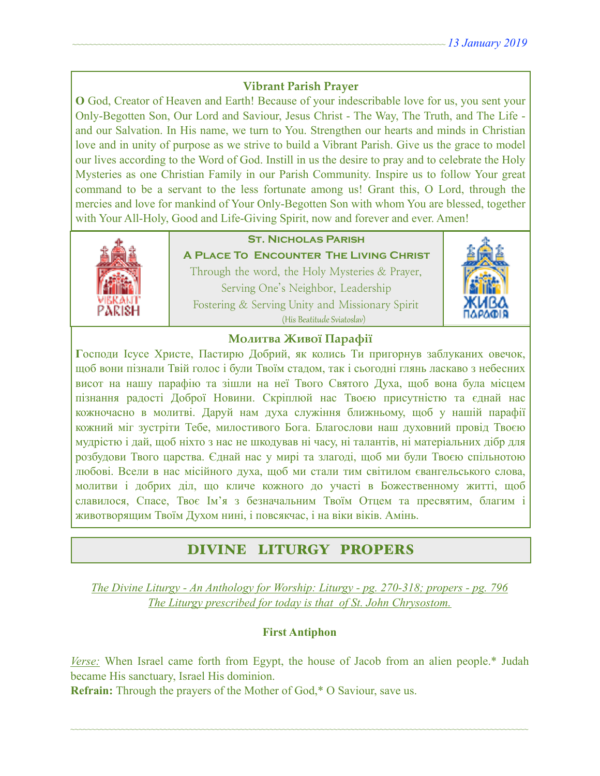## **Vibrant Parish Prayer**

**O** God, Creator of Heaven and Earth! Because of your indescribable love for us, you sent your Only-Begotten Son, Our Lord and Saviour, Jesus Christ - The Way, The Truth, and The Life and our Salvation. In His name, we turn to You. Strengthen our hearts and minds in Christian love and in unity of purpose as we strive to build a Vibrant Parish. Give us the grace to model our lives according to the Word of God. Instill in us the desire to pray and to celebrate the Holy Mysteries as one Christian Family in our Parish Community. Inspire us to follow Your great command to be a servant to the less fortunate among us! Grant this, O Lord, through the mercies and love for mankind of Your Only-Begotten Son with whom You are blessed, together with Your All-Holy, Good and Life-Giving Spirit, now and forever and ever. Amen!



# **St. Nicholas Parish**

**A Place To Encounter The Living Christ** Through the word, the Holy Mysteries & Prayer, Serving One's Neighbor, Leadership Fostering & Serving Unity and Missionary Spirit (His Beatitude Sviatoslav)



#### **Молитва Живої Парафії**

**Г**осподи Ісусе Христе, Пастирю Добрий, як колись Ти пригорнув заблуканих овечок, щоб вони пізнали Твій голос і були Твоїм стадом, так і сьогодні глянь ласкаво з небесних висот на нашу парафію та зішли на неї Твого Святого Духа, щоб вона була місцем пізнання радості Доброї Новини. Скріплюй нас Твоєю присутністю та єднай нас кожночасно в молитві. Даруй нам духа служіння ближньому, щоб у нашій парафії кожний міг зустріти Тебе, милостивого Бога. Благослови наш духовний провід Твоєю мудрістю і дай, щоб ніхто з нас не шкодував ні часу, ні талантів, ні матеріальних дібр для розбудови Твого царства. Єднай нас у мирі та злагоді, щоб ми були Твоєю спільнотою любові. Всели в нас місійного духа, щоб ми стали тим світилом євангельського слова, молитви і добрих діл, що кличе кожного до участі в Божественному житті, щоб славилося, Спасе, Твоє Ім'я з безначальним Твоїм Отцем та пресвятим, благим і животворящим Твоїм Духом нині, і повсякчас, і на віки віків. Амінь.

# DIVINE LITURGY PROPERS

*The Divine Liturgy - An Anthology for Worship: Liturgy - pg. 270-318; propers - pg. 796 The Liturgy prescribed for today is that of St. John Chrysostom.* 

### **First Antiphon**

*Verse:* When Israel came forth from Egypt, the house of Jacob from an alien people.\* Judah became His sanctuary, Israel His dominion.

~~~~~~~~~~~~~~~~~~~~~~~~~~~~~~~~~~~~~~~~~~~~~~~~~~~~~~~~~~~~~~~~~~~~~~~~~~~~~~~~~~~~~~~~~~~~~~~~~~~~~~~~~~~~

**Refrain:** Through the prayers of the Mother of God,\* O Saviour, save us.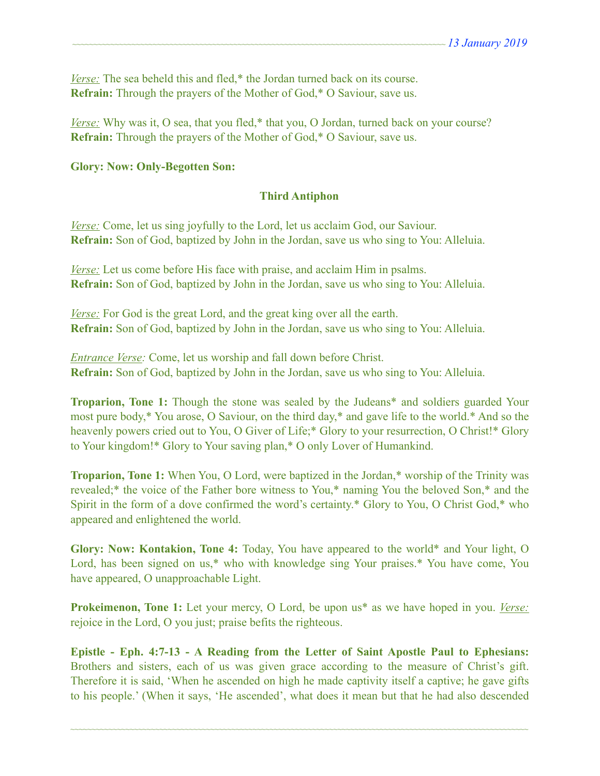*Verse:* The sea beheld this and fled,<sup>\*</sup> the Jordan turned back on its course. **Refrain:** Through the prayers of the Mother of God,\* O Saviour, save us.

*Verse:* Why was it, O sea, that you fled,\* that you, O Jordan, turned back on your course? **Refrain:** Through the prayers of the Mother of God,\* O Saviour, save us.

#### **Glory: Now: Only-Begotten Son:**

#### **Third Antiphon**

*Verse:* Come, let us sing joyfully to the Lord, let us acclaim God, our Saviour. **Refrain:** Son of God, baptized by John in the Jordan, save us who sing to You: Alleluia.

*Verse:* Let us come before His face with praise, and acclaim Him in psalms. **Refrain:** Son of God, baptized by John in the Jordan, save us who sing to You: Alleluia.

*Verse:* For God is the great Lord, and the great king over all the earth. **Refrain:** Son of God, baptized by John in the Jordan, save us who sing to You: Alleluia.

*Entrance Verse:* Come, let us worship and fall down before Christ. **Refrain:** Son of God, baptized by John in the Jordan, save us who sing to You: Alleluia.

**Troparion, Tone 1:** Though the stone was sealed by the Judeans\* and soldiers guarded Your most pure body,\* You arose, O Saviour, on the third day,\* and gave life to the world.\* And so the heavenly powers cried out to You, O Giver of Life;\* Glory to your resurrection, O Christ!\* Glory to Your kingdom!\* Glory to Your saving plan,\* O only Lover of Humankind.

**Troparion, Tone 1:** When You, O Lord, were baptized in the Jordan,\* worship of the Trinity was revealed;\* the voice of the Father bore witness to You,\* naming You the beloved Son,\* and the Spirit in the form of a dove confirmed the word's certainty.\* Glory to You, O Christ God,\* who appeared and enlightened the world.

**Glory: Now: Kontakion, Tone 4:** Today, You have appeared to the world\* and Your light, O Lord, has been signed on us,\* who with knowledge sing Your praises.\* You have come, You have appeared, O unapproachable Light.

**Prokeimenon, Tone 1:** Let your mercy, O Lord, be upon us<sup>\*</sup> as we have hoped in you. *Verse:* rejoice in the Lord, O you just; praise befits the righteous.

**Epistle - Eph. 4:7-13 - A Reading from the Letter of Saint Apostle Paul to Ephesians:** Brothers and sisters, each of us was given grace according to the measure of Christ's gift. Therefore it is said, 'When he ascended on high he made captivity itself a captive; he gave gifts to his people.' (When it says, 'He ascended', what does it mean but that he had also descended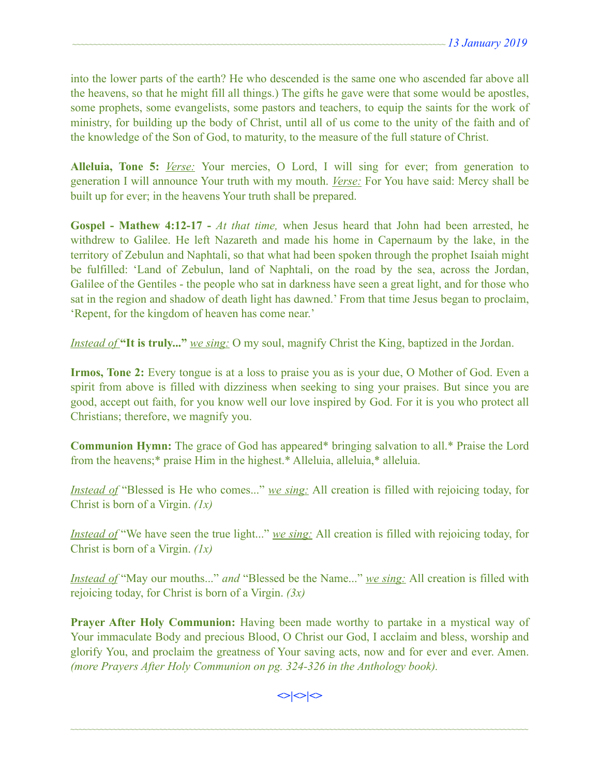into the lower parts of the earth? He who descended is the same one who ascended far above all the heavens, so that he might fill all things.) The gifts he gave were that some would be apostles, some prophets, some evangelists, some pastors and teachers, to equip the saints for the work of ministry, for building up the body of Christ, until all of us come to the unity of the faith and of the knowledge of the Son of God, to maturity, to the measure of the full stature of Christ.

**Alleluia, Tone 5:** *Verse:* Your mercies, O Lord, I will sing for ever; from generation to generation I will announce Your truth with my mouth. *Verse:* For You have said: Mercy shall be built up for ever; in the heavens Your truth shall be prepared.

**Gospel - Mathew 4:12-17 -** *At that time,* when Jesus heard that John had been arrested, he withdrew to Galilee. He left Nazareth and made his home in Capernaum by the lake, in the territory of Zebulun and Naphtali, so that what had been spoken through the prophet Isaiah might be fulfilled: 'Land of Zebulun, land of Naphtali, on the road by the sea, across the Jordan, Galilee of the Gentiles - the people who sat in darkness have seen a great light, and for those who sat in the region and shadow of death light has dawned.' From that time Jesus began to proclaim, 'Repent, for the kingdom of heaven has come near.'

*Instead of* **"It is truly..."** *we sing:* O my soul, magnify Christ the King, baptized in the Jordan.

**Irmos, Tone 2:** Every tongue is at a loss to praise you as is your due, O Mother of God. Even a spirit from above is filled with dizziness when seeking to sing your praises. But since you are good, accept out faith, for you know well our love inspired by God. For it is you who protect all Christians; therefore, we magnify you.

**Communion Hymn:** The grace of God has appeared\* bringing salvation to all.\* Praise the Lord from the heavens;\* praise Him in the highest.\* Alleluia, alleluia,\* alleluia.

*Instead of* "Blessed is He who comes..." *we sing:* All creation is filled with rejoicing today, for Christ is born of a Virgin. *(1х)* 

*Instead of* "We have seen the true light..." *we sing*: All creation is filled with rejoicing today, for Christ is born of a Virgin. *(1х)* 

*Instead of* "May our mouths..." *and* "Blessed be the Name..." *we sing:* All creation is filled with rejoicing today, for Christ is born of a Virgin. *(3x)*

**Prayer After Holy Communion:** Having been made worthy to partake in a mystical way of Your immaculate Body and precious Blood, O Christ our God, I acclaim and bless, worship and glorify You, and proclaim the greatness of Your saving acts, now and for ever and ever. Amen. *(more Prayers After Holy Communion on pg. 324-326 in the Anthology book).* 

 $\Leftrightarrow$  $\Leftrightarrow$   $\Leftrightarrow$   $\Leftrightarrow$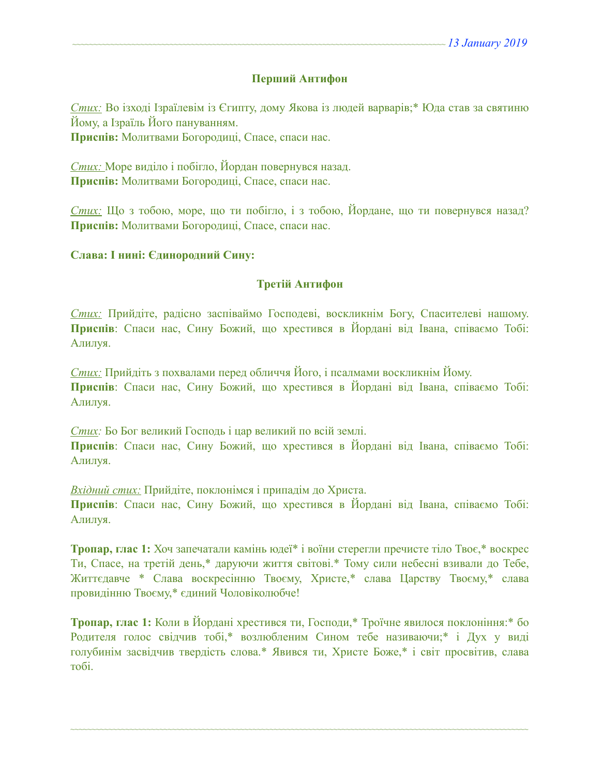#### **Перший Антифон**

*Стих:* Во ізході Ізраїлевім із Єгипту, дому Якова із людей варварів;\* Юда став за святиню Йому, а Ізраїль Його пануванням. **Приспів:** Молитвами Богородиці, Спасе, спаси нас.

*Стих:* Море виділо і побігло, Йордан повернувся назад. **Приспів:** Молитвами Богородиці, Спасе, спаси нас.

*Стих:* Що з тобою, море, що ти побігло, і з тобою, Йордане, що ти повернувся назад? **Приспів:** Молитвами Богородиці, Спасе, спаси нас.

#### **Слава: І нині: Єдинородний Сину:**

#### **Третій Антифон**

*Стих:* Прийдіте, радісно заспіваймо Господеві, воскликнім Богу, Спасителеві нашому. **Приспів**: Спаси нас, Сину Божий, що хрестився в Йордані від Івана, співаємо Тобі: Алилуя.

*Стих:* Прийдіть з похвалами перед обличчя Його, і псалмами воскликнім Йому. **Приспів**: Спаси нас, Сину Божий, що хрестився в Йордані від Івана, співаємо Тобі: Алилуя.

*Стих:* Бо Бог великий Господь і цар великий по всій землі. **Приспів**: Спаси нас, Сину Божий, що хрестився в Йордані від Івана, співаємо Тобі: Алилуя.

*Вхідний стих:* Прийдіте, поклонімся і припадім до Христа. **Приспів**: Спаси нас, Сину Божий, що хрестився в Йордані від Івана, співаємо Тобі: Алилуя.

**Тропар, глас 1:** Хоч запечатали камінь юдеї\* і воїни стерегли пречисте тіло Твоє,\* воскрес Ти, Спасе, на третій день,\* даруючи життя світові.\* Тому сили небесні взивали до Тебе, Життєдавче \* Слава воскресінню Твоєму, Христе,\* слава Царству Твоєму,\* слава провидінню Твоєму,\* єдиний Чоловіколюбче!

**Тропар, глас 1:** Коли в Йордані хрестився ти, Господи,\* Троїчне явилося поклоніння:\* бо Родителя голос свідчив тобі,\* возлюбленим Сином тебе називаючи;\* і Дух у виді голубинім засвідчив твердість слова.\* Явився ти, Христе Боже,\* і світ просвітив, слава тобі.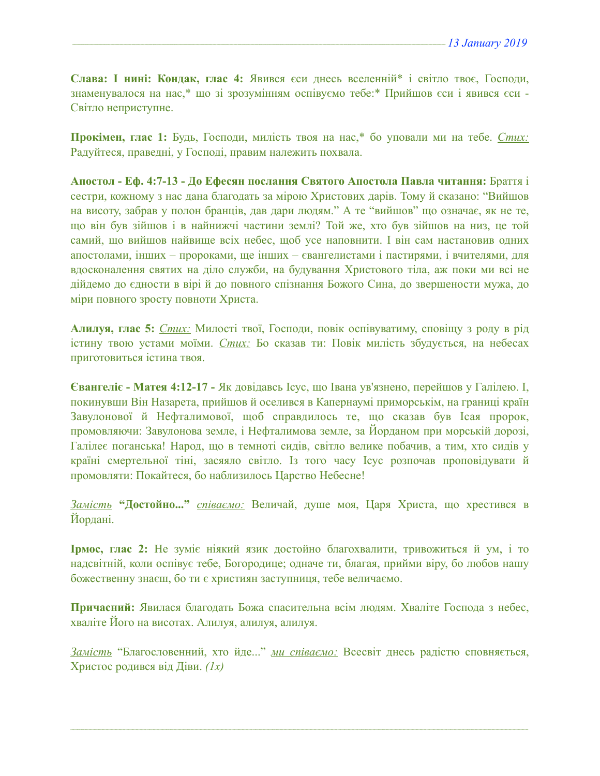**Слава: І нині: Кондак, глас 4:** Явився єси днесь вселенній\* і світло твоє, Господи, знаменувалося на нас,\* що зі зрозумінням оспівуємо тебе:\* Прийшов єси і явився єси - Світло неприступне.

**Прокімен, глас 1:** Будь, Господи, милість твоя на нас,\* бо уповали ми на тебе. *Стих:*  Радуйтеся, праведні, у Господі, правим належить похвала.

**Апостол - Еф. 4:7-13 - До Ефесян послання Святого Апостола Павла читання:** Браття і сестри, кожному з нас дана благодать за мірою Христових дарів. Тому й сказано: "Вийшов на висоту, забрав у полон бранців, дав дари людям." А те "вийшов" що означає, як не те, що він був зійшов і в найнижчі частини землі? Той же, хто був зійшов на низ, це той самий, що вийшов найвище всіх небес, щоб усе наповнити. І він сам настановив одних апостолами, інших – пророками, ще інших – євангелистами і пастирями, і вчителями, для вдосконалення святих на діло служби, на будування Христового тіла, аж поки ми всі не дійдемо до єдности в вірі й до повного спізнання Божого Сина, до звершености мужа, до міри повного зросту повноти Христа.

**Алилуя, глас 5:** *Стих:* Милості твої, Господи, повік оспівуватиму, сповіщу з роду в рід істину твою устами моїми. *Стих:* Бо сказав ти: Повік милість збудується, на небесах приготовиться істина твоя.

**Євангеліє - Матея 4:12-17 -** Як довідавсь Ісус, що Івана ув'язнено, перейшов у Галілею. І, покинувши Він Назарета, прийшов й оселився в Капернаумі приморськім, на границі країн Завулонової й Нефталимової, щоб справдилось те, що сказав був Ісая пророк, промовляючи: Завулонова земле, і Нефталимова земле, за Йорданом при морській дорозі, Галілеє поганська! Народ, що в темноті сидів, світло велике побачив, а тим, хто сидів у країні смертельної тіні, засяяло світло. Із того часу Ісус розпочав проповідувати й промовляти: Покайтеся, бо наблизилось Царство Небесне!

*Замість* **"Достойно..."** *співаємо:* Величай, душе моя, Царя Христа, що хрестився в Йордані.

**Ірмос, глас 2:** Не зуміє ніякий язик достойно благохвалити, тривожиться й ум, і то надсвітній, коли оспівує тебе, Богородице; одначе ти, благая, прийми віру, бо любов нашу божественну знаєш, бо ти є християн заступниця, тебе величаємо.

**Причасний:** Явилася благодать Божа спасительна всім людям. Хваліте Господа з небес, хваліте Його на висотах. Алилуя, алилуя, алилуя.

*Замість* "Благословенний, хто йде..." *ми співаємо:* Всесвіт днесь радістю сповняється, Христос родився від Діви. *(1х)*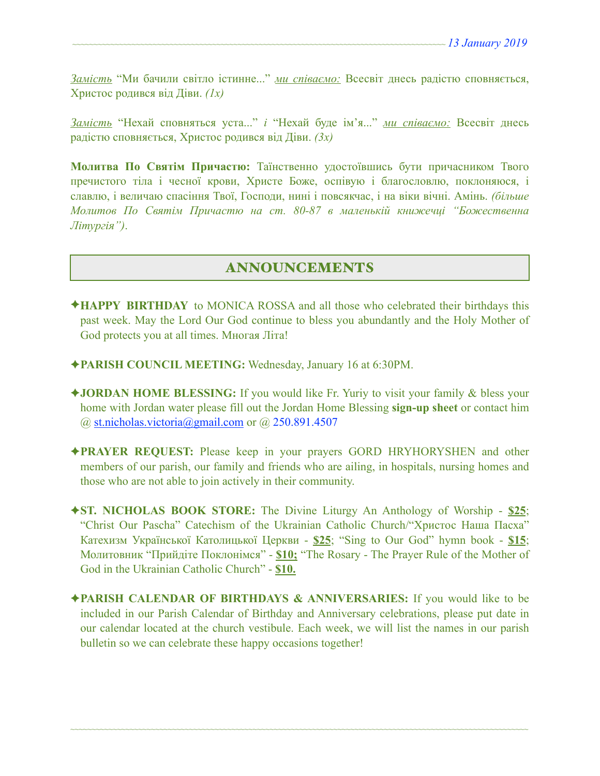*Замість* "Ми бачили світло істинне..." *ми співаємо:* Всесвіт днесь радістю сповняється, Христос родився від Діви. *(1х)* 

*Замість* "Нехай сповняться уста..." *і* "Нехай буде ім'я..." *ми співаємо:* Всесвіт днесь радістю сповняється, Христос родився від Діви. *(3х)* 

**Молитва По Святім Причастю:** Таїнственно удостоївшись бути причасником Твого пречистого тіла і чесної крови, Христе Боже, оспівую і благословлю, поклоняюся, і славлю, і величаю спасіння Твої, Господи, нині і повсякчас, і на віки вічні. Амінь. *(більше Молитов По Святім Причастю на ст. 80-87 в маленькій книжечці "Божественна Літургія")*.

# ANNOUNCEMENTS

- ✦**HAPPY BIRTHDAY** to MONICA ROSSA and all those who celebrated their birthdays this past week. May the Lord Our God continue to bless you abundantly and the Holy Mother of God protects you at all times. Многая Літа!
- ✦**PARISH COUNCIL MEETING:** Wednesday, January 16 at 6:30PM.
- ✦**JORDAN HOME BLESSING:** If you would like Fr. Yuriy to visit your family & bless your home with Jordan water please fill out the Jordan Home Blessing **sign-up sheet** or contact him  $(a)$  st.nicholas.victoria $(a)$ gmail.com or  $(a)$  250.891.4507
- ✦**PRAYER REQUEST:** Please keep in your prayers GORD HRYHORYSHEN and other members of our parish, our family and friends who are ailing, in hospitals, nursing homes and those who are not able to join actively in their community.
- ✦**ST. NICHOLAS BOOK STORE:** The Divine Liturgy An Anthology of Worship **\$25**; "Christ Our Pascha" Catechism of the Ukrainian Catholic Church/"Христос Наша Пасха" Катехизм Української Католицької Церкви - **\$25**; "Sing to Our God" hymn book - **\$15**; Молитовник "Прийдіте Поклонімся" - **\$10;** "The Rosary - The Prayer Rule of the Mother of God in the Ukrainian Catholic Church" - **\$10.**
- ✦**PARISH CALENDAR OF BIRTHDAYS & ANNIVERSARIES:** If you would like to be included in our Parish Calendar of Birthday and Anniversary celebrations, please put date in our calendar located at the church vestibule. Each week, we will list the names in our parish bulletin so we can celebrate these happy occasions together!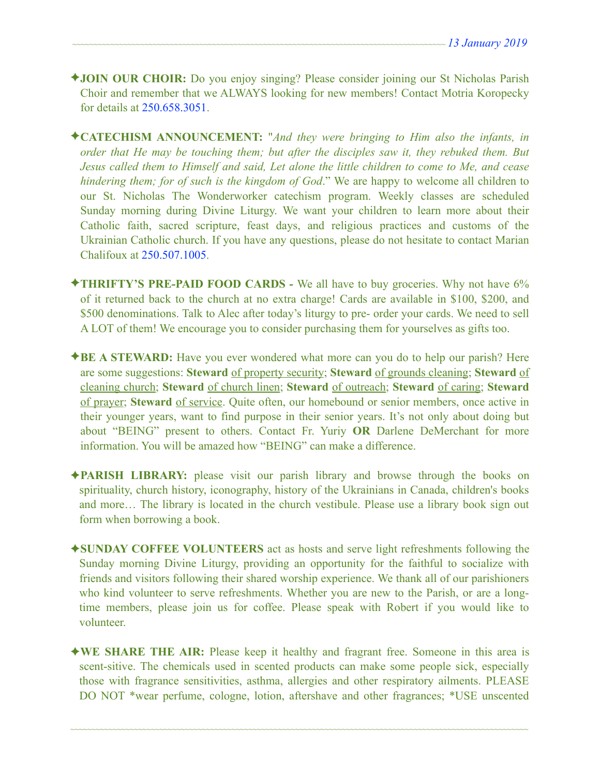- ✦**JOIN OUR CHOIR:** Do you enjoy singing? Please consider joining our St Nicholas Parish Choir and remember that we ALWAYS looking for new members! Contact Motria Koropecky for details at 250.658.3051.
- ✦**CATECHISM ANNOUNCEMENT:** "*And they were bringing to Him also the infants, in order that He may be touching them; but after the disciples saw it, they rebuked them. But Jesus called them to Himself and said, Let alone the little children to come to Me, and cease hindering them; for of such is the kingdom of God*." We are happy to welcome all children to our St. Nicholas The Wonderworker catechism program. Weekly classes are scheduled Sunday morning during Divine Liturgy. We want your children to learn more about their Catholic faith, sacred scripture, feast days, and religious practices and customs of the Ukrainian Catholic church. If you have any questions, please do not hesitate to contact Marian Chalifoux at 250.507.1005.
- ✦**THRIFTY'S PRE-PAID FOOD CARDS** We all have to buy groceries. Why not have 6% of it returned back to the church at no extra charge! Cards are available in \$100, \$200, and \$500 denominations. Talk to Alec after today's liturgy to pre- order your cards. We need to sell A LOT of them! We encourage you to consider purchasing them for yourselves as gifts too.
- ✦**BE A STEWARD:** Have you ever wondered what more can you do to help our parish? Here are some suggestions: **Steward** of property security; **Steward** of grounds cleaning; **Steward** of cleaning church; **Steward** of church linen; **Steward** of outreach; **Steward** of caring; **Steward** of prayer; **Steward** of service. Quite often, our homebound or senior members, once active in their younger years, want to find purpose in their senior years. It's not only about doing but about "BEING" present to others. Contact Fr. Yuriy **OR** Darlene DeMerchant for more information. You will be amazed how "BEING" can make a difference.
- ✦**PARISH LIBRARY:** please visit our parish library and browse through the books on spirituality, church history, iconography, history of the Ukrainians in Canada, children's books and more… The library is located in the church vestibule. Please use a library book sign out form when borrowing a book.
- ✦**SUNDAY COFFEE VOLUNTEERS** act as hosts and serve light refreshments following the Sunday morning Divine Liturgy, providing an opportunity for the faithful to socialize with friends and visitors following their shared worship experience. We thank all of our parishioners who kind volunteer to serve refreshments. Whether you are new to the Parish, or are a longtime members, please join us for coffee. Please speak with Robert if you would like to volunteer.
- ✦**WE SHARE THE AIR:** Please keep it healthy and fragrant free. Someone in this area is scent-sitive. The chemicals used in scented products can make some people sick, especially those with fragrance sensitivities, asthma, allergies and other respiratory ailments. PLEASE DO NOT \*wear perfume, cologne, lotion, aftershave and other fragrances; \*USE unscented